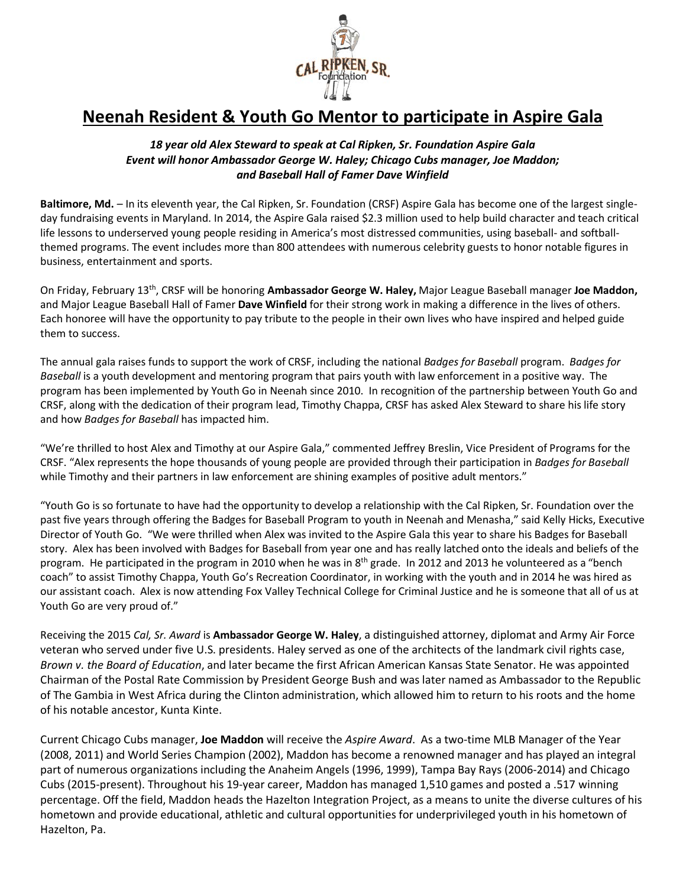

## **Neenah Resident & Youth Go Mentor to participate in Aspire Gala**

## *18 year old Alex Steward to speak at Cal Ripken, Sr. Foundation Aspire Gala Event will honor Ambassador George W. Haley; Chicago Cubs manager, Joe Maddon; and Baseball Hall of Famer Dave Winfield*

**Baltimore, Md.** *–* In its eleventh year, the Cal Ripken, Sr. Foundation (CRSF) Aspire Gala has become one of the largest singleday fundraising events in Maryland. In 2014, the Aspire Gala raised \$2.3 million used to help build character and teach critical life lessons to underserved young people residing in America's most distressed communities, using baseball- and softballthemed programs. The event includes more than 800 attendees with numerous celebrity guests to honor notable figures in business, entertainment and sports.

On Friday, February 13th , CRSF will be honoring **Ambassador George W. Haley,** Major League Baseball manager **Joe Maddon,** and Major League Baseball Hall of Famer **Dave Winfield** for their strong work in making a difference in the lives of others. Each honoree will have the opportunity to pay tribute to the people in their own lives who have inspired and helped guide them to success.

The annual gala raises funds to support the work of CRSF, including the national *Badges for Baseball* program. *Badges for Baseball* is a youth development and mentoring program that pairs youth with law enforcement in a positive way. The program has been implemented by Youth Go in Neenah since 2010. In recognition of the partnership between Youth Go and CRSF, along with the dedication of their program lead, Timothy Chappa, CRSF has asked Alex Steward to share his life story and how *Badges for Baseball* has impacted him.

"We're thrilled to host Alex and Timothy at our Aspire Gala," commented Jeffrey Breslin, Vice President of Programs for the CRSF. "Alex represents the hope thousands of young people are provided through their participation in *Badges for Baseball* while Timothy and their partners in law enforcement are shining examples of positive adult mentors."

"Youth Go is so fortunate to have had the opportunity to develop a relationship with the Cal Ripken, Sr. Foundation over the past five years through offering the Badges for Baseball Program to youth in Neenah and Menasha," said Kelly Hicks, Executive Director of Youth Go. "We were thrilled when Alex was invited to the Aspire Gala this year to share his Badges for Baseball story. Alex has been involved with Badges for Baseball from year one and has really latched onto the ideals and beliefs of the program. He participated in the program in 2010 when he was in  $8^{th}$  grade. In 2012 and 2013 he volunteered as a "bench coach" to assist Timothy Chappa, Youth Go's Recreation Coordinator, in working with the youth and in 2014 he was hired as our assistant coach. Alex is now attending Fox Valley Technical College for Criminal Justice and he is someone that all of us at Youth Go are very proud of."

Receiving the 2015 *Cal, Sr. Award* is **Ambassador George W. Haley**, a distinguished attorney, diplomat and Army Air Force veteran who served under five U.S. presidents. Haley served as one of the architects of the landmark civil rights case, *Brown v. the Board of Education*, and later became the first African American Kansas State Senator. He was appointed Chairman of the Postal Rate Commission by President George Bush and was later named as Ambassador to the Republic of The Gambia in West Africa during the Clinton administration, which allowed him to return to his roots and the home of his notable ancestor, Kunta Kinte.

Current Chicago Cubs manager, **Joe Maddon** will receive the *Aspire Award*. As a two-time MLB Manager of the Year (2008, 2011) and World Series Champion (2002), Maddon has become a renowned manager and has played an integral part of numerous organizations including the Anaheim Angels (1996, 1999), Tampa Bay Rays (2006-2014) and Chicago Cubs (2015-present). Throughout his 19-year career, Maddon has managed 1,510 games and posted a .517 winning percentage. Off the field, Maddon heads the Hazelton Integration Project, as a means to unite the diverse cultures of his hometown and provide educational, athletic and cultural opportunities for underprivileged youth in his hometown of Hazelton, Pa.